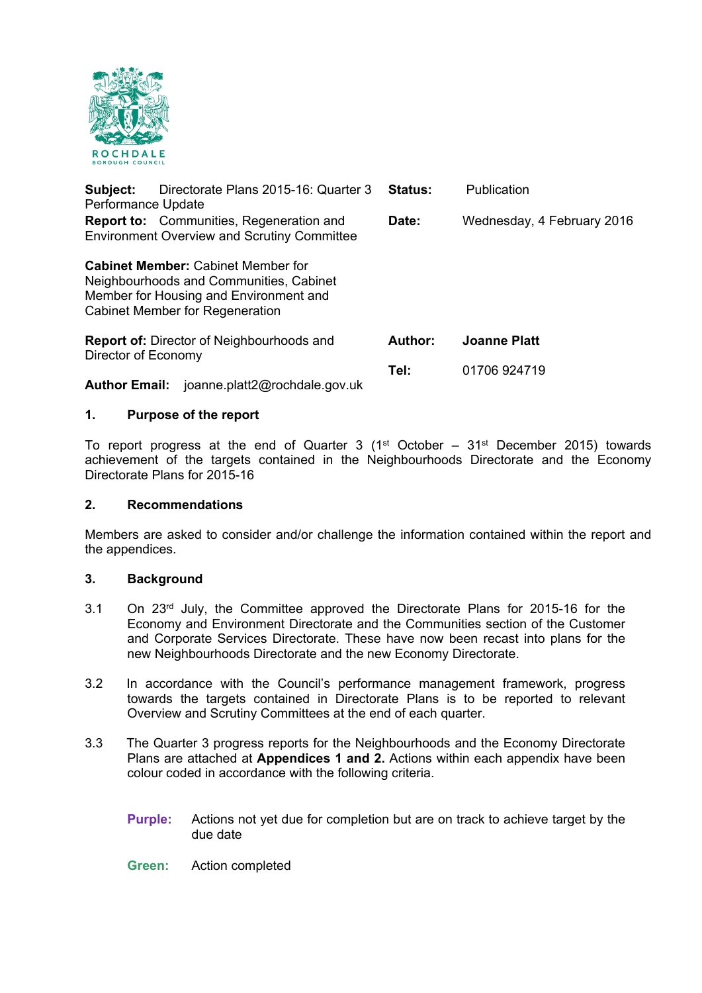

| Subject:<br>Performance Update                                          | Directorate Plans 2015-16: Quarter 3                                                                                                                              | <b>Status:</b> | Publication                |
|-------------------------------------------------------------------------|-------------------------------------------------------------------------------------------------------------------------------------------------------------------|----------------|----------------------------|
|                                                                         | <b>Report to:</b> Communities, Regeneration and<br><b>Environment Overview and Scrutiny Committee</b>                                                             | Date:          | Wednesday, 4 February 2016 |
|                                                                         | <b>Cabinet Member: Cabinet Member for</b><br>Neighbourhoods and Communities, Cabinet<br>Member for Housing and Environment and<br>Cabinet Member for Regeneration |                |                            |
| <b>Report of:</b> Director of Neighbourhoods and<br>Director of Economy |                                                                                                                                                                   | Author:        | <b>Joanne Platt</b>        |
| <b>Author Email:</b>                                                    | joanne.platt2@rochdale.gov.uk                                                                                                                                     | Tel:           | 01706 924719               |

# **1. Purpose of the report**

To report progress at the end of Quarter 3 ( $1<sup>st</sup>$  October –  $31<sup>st</sup>$  December 2015) towards achievement of the targets contained in the Neighbourhoods Directorate and the Economy Directorate Plans for 2015-16

# **2. Recommendations**

Members are asked to consider and/or challenge the information contained within the report and the appendices.

#### **3. Background**

- 3.1 On 23rd July, the Committee approved the Directorate Plans for 2015-16 for the Economy and Environment Directorate and the Communities section of the Customer and Corporate Services Directorate. These have now been recast into plans for the new Neighbourhoods Directorate and the new Economy Directorate.
- 3.2 In accordance with the Council's performance management framework, progress towards the targets contained in Directorate Plans is to be reported to relevant Overview and Scrutiny Committees at the end of each quarter.
- 3.3 The Quarter 3 progress reports for the Neighbourhoods and the Economy Directorate Plans are attached at **Appendices 1 and 2.** Actions within each appendix have been colour coded in accordance with the following criteria.
	- **Purple:** Actions not yet due for completion but are on track to achieve target by the due date
	- **Green:** Action completed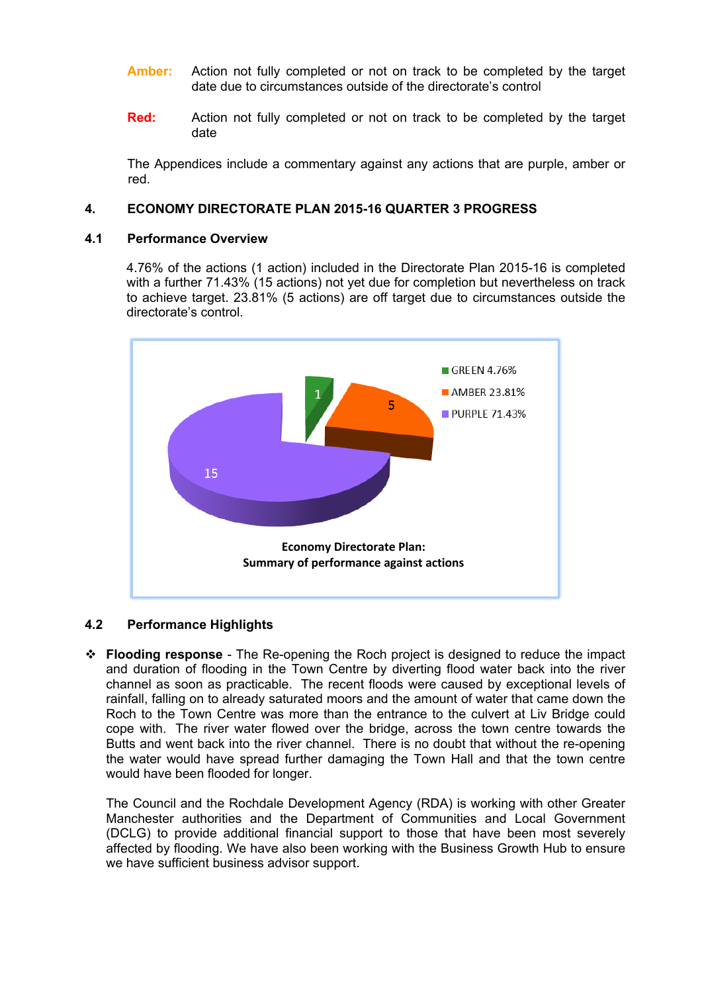- **Amber:** Action not fully completed or not on track to be completed by the target date due to circumstances outside of the directorate's control
- **Red:** Action not fully completed or not on track to be completed by the target date

The Appendices include a commentary against any actions that are purple, amber or red.

# **4. ECONOMY DIRECTORATE PLAN 2015-16 QUARTER 3 PROGRESS**

# **4.1 Performance Overview**

4.76% of the actions (1 action) included in the Directorate Plan 2015-16 is completed with a further 71.43% (15 actions) not yet due for completion but nevertheless on track to achieve target. 23.81% (5 actions) are off target due to circumstances outside the directorate's control.



# **4.2 Performance Highlights**

 **Flooding response** - The Re-opening the Roch project is designed to reduce the impact and duration of flooding in the Town Centre by diverting flood water back into the river channel as soon as practicable. The recent floods were caused by exceptional levels of rainfall, falling on to already saturated moors and the amount of water that came down the Roch to the Town Centre was more than the entrance to the culvert at Liv Bridge could cope with. The river water flowed over the bridge, across the town centre towards the Butts and went back into the river channel. There is no doubt that without the re-opening the water would have spread further damaging the Town Hall and that the town centre would have been flooded for longer.

The Council and the Rochdale Development Agency (RDA) is working with other Greater Manchester authorities and the Department of Communities and Local Government (DCLG) to provide additional financial support to those that have been most severely affected by flooding. We have also been working with the Business Growth Hub to ensure we have sufficient business advisor support.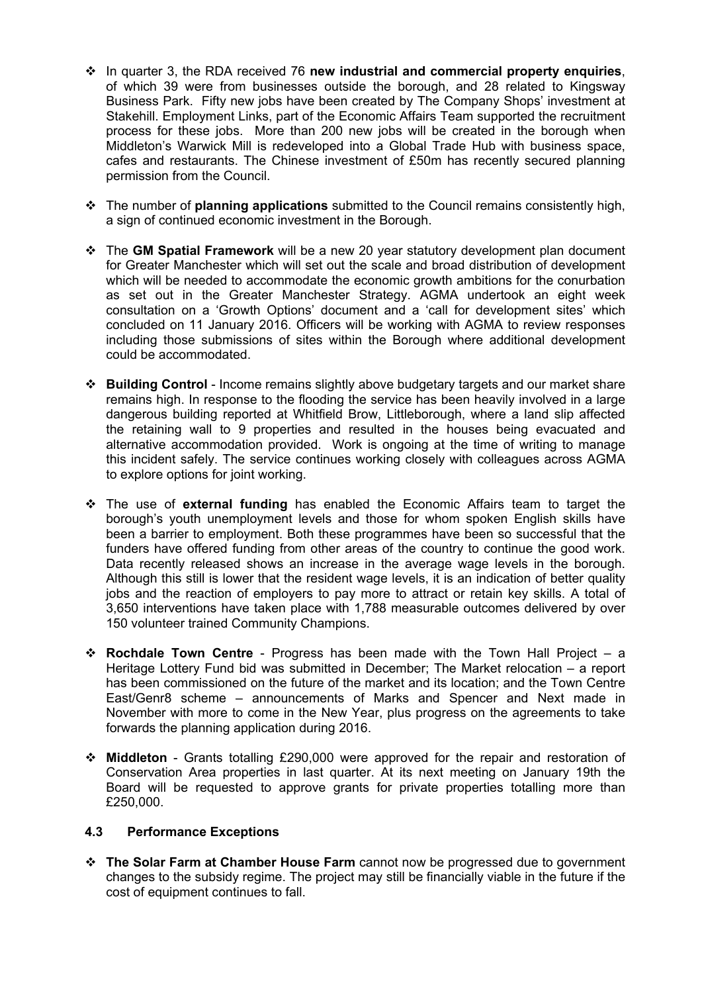- In quarter 3, the RDA received 76 **new industrial and commercial property enquiries**, of which 39 were from businesses outside the borough, and 28 related to Kingsway Business Park. Fifty new jobs have been created by The Company Shops' investment at Stakehill. Employment Links, part of the Economic Affairs Team supported the recruitment process for these jobs. More than 200 new jobs will be created in the borough when Middleton's Warwick Mill is redeveloped into a Global Trade Hub with business space, cafes and restaurants. The Chinese investment of £50m has recently secured planning permission from the Council.
- The number of **planning applications** submitted to the Council remains consistently high, a sign of continued economic investment in the Borough.
- The **GM Spatial Framework** will be a new 20 year statutory development plan document for Greater Manchester which will set out the scale and broad distribution of development which will be needed to accommodate the economic growth ambitions for the conurbation as set out in the Greater Manchester Strategy. AGMA undertook an eight week consultation on a 'Growth Options' document and a 'call for development sites' which concluded on 11 January 2016. Officers will be working with AGMA to review responses including those submissions of sites within the Borough where additional development could be accommodated.
- **Building Control** Income remains slightly above budgetary targets and our market share remains high. In response to the flooding the service has been heavily involved in a large dangerous building reported at Whitfield Brow, Littleborough, where a land slip affected the retaining wall to 9 properties and resulted in the houses being evacuated and alternative accommodation provided. Work is ongoing at the time of writing to manage this incident safely. The service continues working closely with colleagues across AGMA to explore options for joint working.
- The use of **external funding** has enabled the Economic Affairs team to target the borough's youth unemployment levels and those for whom spoken English skills have been a barrier to employment. Both these programmes have been so successful that the funders have offered funding from other areas of the country to continue the good work. Data recently released shows an increase in the average wage levels in the borough. Although this still is lower that the resident wage levels, it is an indication of better quality jobs and the reaction of employers to pay more to attract or retain key skills. A total of 3,650 interventions have taken place with 1,788 measurable outcomes delivered by over 150 volunteer trained Community Champions.
- **Rochdale Town Centre** Progress has been made with the Town Hall Project a Heritage Lottery Fund bid was submitted in December; The Market relocation – a report has been commissioned on the future of the market and its location; and the Town Centre East/Genr8 scheme – announcements of Marks and Spencer and Next made in November with more to come in the New Year, plus progress on the agreements to take forwards the planning application during 2016.
- **Middleton** Grants totalling £290,000 were approved for the repair and restoration of Conservation Area properties in last quarter. At its next meeting on January 19th the Board will be requested to approve grants for private properties totalling more than £250,000.

#### **4.3 Performance Exceptions**

 **The Solar Farm at Chamber House Farm** cannot now be progressed due to government changes to the subsidy regime. The project may still be financially viable in the future if the cost of equipment continues to fall.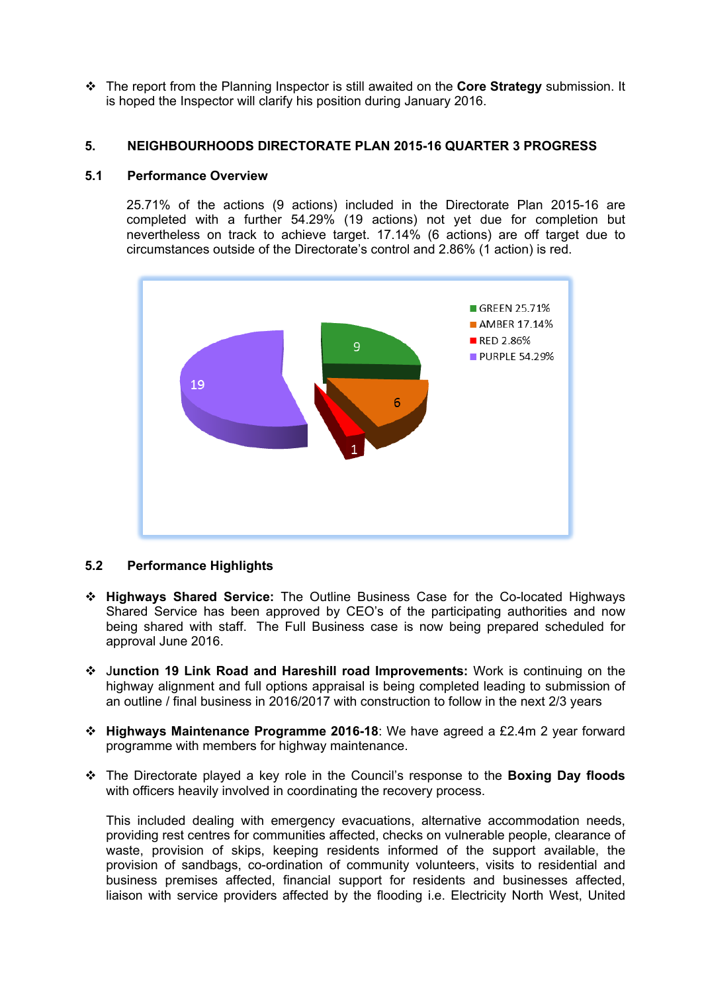The report from the Planning Inspector is still awaited on the **Core Strategy** submission. It is hoped the Inspector will clarify his position during January 2016.

# **5. NEIGHBOURHOODS DIRECTORATE PLAN 2015-16 QUARTER 3 PROGRESS**

#### **5.1 Performance Overview**

25.71% of the actions (9 actions) included in the Directorate Plan 2015-16 are completed with a further 54.29% (19 actions) not yet due for completion but nevertheless on track to achieve target. 17.14% (6 actions) are off target due to circumstances outside of the Directorate's control and 2.86% (1 action) is red.



#### **5.2 Performance Highlights**

- **Highways Shared Service:** The Outline Business Case for the Co-located Highways Shared Service has been approved by CEO's of the participating authorities and now being shared with staff. The Full Business case is now being prepared scheduled for approval June 2016.
- J**unction 19 Link Road and Hareshill road Improvements:** Work is continuing on the highway alignment and full options appraisal is being completed leading to submission of an outline / final business in 2016/2017 with construction to follow in the next 2/3 years
- **Highways Maintenance Programme 2016-18**: We have agreed a £2.4m 2 year forward programme with members for highway maintenance.
- The Directorate played a key role in the Council's response to the **Boxing Day floods** with officers heavily involved in coordinating the recovery process.

This included dealing with emergency evacuations, alternative accommodation needs, providing rest centres for communities affected, checks on vulnerable people, clearance of waste, provision of skips, keeping residents informed of the support available, the provision of sandbags, co-ordination of community volunteers, visits to residential and business premises affected, financial support for residents and businesses affected, liaison with service providers affected by the flooding i.e. Electricity North West, United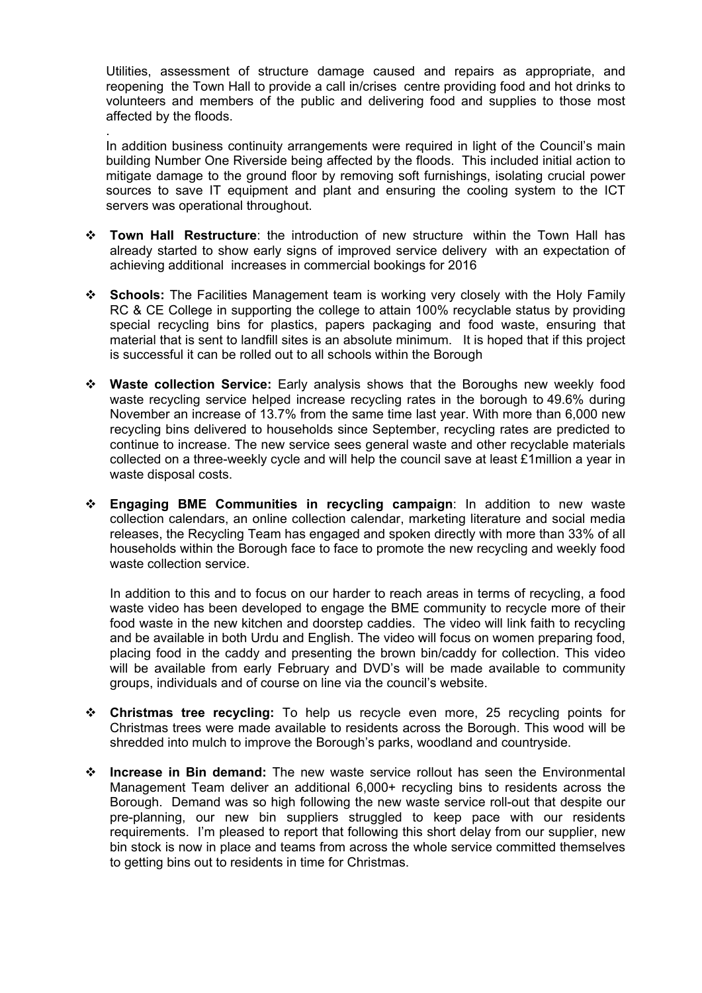Utilities, assessment of structure damage caused and repairs as appropriate, and reopening the Town Hall to provide a call in/crises centre providing food and hot drinks to volunteers and members of the public and delivering food and supplies to those most affected by the floods.

. In addition business continuity arrangements were required in light of the Council's main building Number One Riverside being affected by the floods. This included initial action to mitigate damage to the ground floor by removing soft furnishings, isolating crucial power sources to save IT equipment and plant and ensuring the cooling system to the ICT servers was operational throughout.

- **Town Hall Restructure**: the introduction of new structure within the Town Hall has already started to show early signs of improved service delivery with an expectation of achieving additional increases in commercial bookings for 2016
- **Schools:** The Facilities Management team is working very closely with the Holy Family RC & CE College in supporting the college to attain 100% recyclable status by providing special recycling bins for plastics, papers packaging and food waste, ensuring that material that is sent to landfill sites is an absolute minimum. It is hoped that if this project is successful it can be rolled out to all schools within the Borough
- **Waste collection Service:** Early analysis shows that the Boroughs new weekly food waste recycling service helped increase recycling rates in the borough to 49.6% during November an increase of 13.7% from the same time last year. With more than 6,000 new recycling bins delivered to households since September, recycling rates are predicted to continue to increase. The new service sees general waste and other recyclable materials collected on a three-weekly cycle and will help the council save at least £1million a year in waste disposal costs.
- **Engaging BME Communities in recycling campaign**: In addition to new waste collection calendars, an online collection calendar, marketing literature and social media releases, the Recycling Team has engaged and spoken directly with more than 33% of all households within the Borough face to face to promote the new recycling and weekly food waste collection service.

In addition to this and to focus on our harder to reach areas in terms of recycling, a food waste video has been developed to engage the BME community to recycle more of their food waste in the new kitchen and doorstep caddies. The video will link faith to recycling and be available in both Urdu and English. The video will focus on women preparing food, placing food in the caddy and presenting the brown bin/caddy for collection. This video will be available from early February and DVD's will be made available to community groups, individuals and of course on line via the council's website.

- **Christmas tree recycling:** To help us recycle even more, 25 recycling points for Christmas trees were made available to residents across the Borough. This wood will be shredded into mulch to improve the Borough's parks, woodland and countryside.
- **Increase in Bin demand:** The new waste service rollout has seen the Environmental Management Team deliver an additional 6,000+ recycling bins to residents across the Borough. Demand was so high following the new waste service roll-out that despite our pre-planning, our new bin suppliers struggled to keep pace with our residents requirements. I'm pleased to report that following this short delay from our supplier, new bin stock is now in place and teams from across the whole service committed themselves to getting bins out to residents in time for Christmas.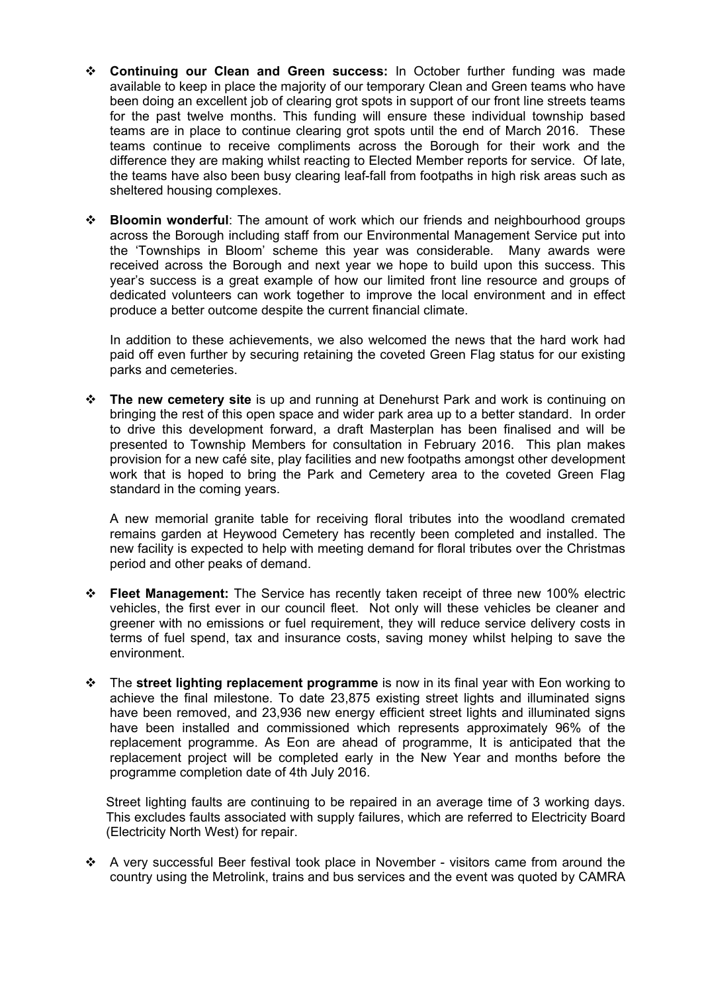- **Continuing our Clean and Green success:** In October further funding was made available to keep in place the majority of our temporary Clean and Green teams who have been doing an excellent job of clearing grot spots in support of our front line streets teams for the past twelve months. This funding will ensure these individual township based teams are in place to continue clearing grot spots until the end of March 2016. These teams continue to receive compliments across the Borough for their work and the difference they are making whilst reacting to Elected Member reports for service. Of late, the teams have also been busy clearing leaf-fall from footpaths in high risk areas such as sheltered housing complexes.
- **Bloomin wonderful**: The amount of work which our friends and neighbourhood groups across the Borough including staff from our Environmental Management Service put into the 'Townships in Bloom' scheme this year was considerable. Many awards were received across the Borough and next year we hope to build upon this success. This year's success is a great example of how our limited front line resource and groups of dedicated volunteers can work together to improve the local environment and in effect produce a better outcome despite the current financial climate.

In addition to these achievements, we also welcomed the news that the hard work had paid off even further by securing retaining the coveted Green Flag status for our existing parks and cemeteries.

 **The new cemetery site** is up and running at Denehurst Park and work is continuing on bringing the rest of this open space and wider park area up to a better standard. In order to drive this development forward, a draft Masterplan has been finalised and will be presented to Township Members for consultation in February 2016. This plan makes provision for a new café site, play facilities and new footpaths amongst other development work that is hoped to bring the Park and Cemetery area to the coveted Green Flag standard in the coming years.

A new memorial granite table for receiving floral tributes into the woodland cremated remains garden at Heywood Cemetery has recently been completed and installed. The new facility is expected to help with meeting demand for floral tributes over the Christmas period and other peaks of demand.

- **Fleet Management:** The Service has recently taken receipt of three new 100% electric vehicles, the first ever in our council fleet. Not only will these vehicles be cleaner and greener with no emissions or fuel requirement, they will reduce service delivery costs in terms of fuel spend, tax and insurance costs, saving money whilst helping to save the environment.
- The **street lighting replacement programme** is now in its final year with Eon working to achieve the final milestone. To date 23,875 existing street lights and illuminated signs have been removed, and 23,936 new energy efficient street lights and illuminated signs have been installed and commissioned which represents approximately 96% of the replacement programme. As Eon are ahead of programme, It is anticipated that the replacement project will be completed early in the New Year and months before the programme completion date of 4th July 2016.

Street lighting faults are continuing to be repaired in an average time of 3 working days. This excludes faults associated with supply failures, which are referred to Electricity Board (Electricity North West) for repair.

 A very successful Beer festival took place in November - visitors came from around the country using the Metrolink, trains and bus services and the event was quoted by CAMRA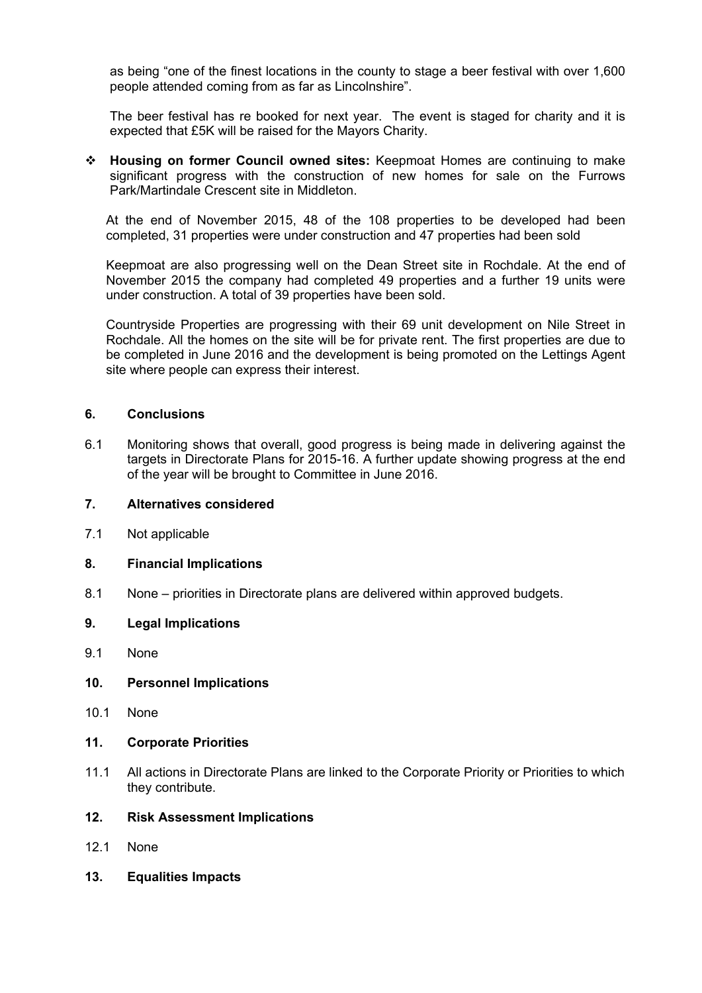as being "one of the finest locations in the county to stage a beer festival with over 1,600 people attended coming from as far as Lincolnshire".

The beer festival has re booked for next year. The event is staged for charity and it is expected that £5K will be raised for the Mayors Charity.

 **Housing on former Council owned sites:** Keepmoat Homes are continuing to make significant progress with the construction of new homes for sale on the Furrows Park/Martindale Crescent site in Middleton.

At the end of November 2015, 48 of the 108 properties to be developed had been completed, 31 properties were under construction and 47 properties had been sold

Keepmoat are also progressing well on the Dean Street site in Rochdale. At the end of November 2015 the company had completed 49 properties and a further 19 units were under construction. A total of 39 properties have been sold.

Countryside Properties are progressing with their 69 unit development on Nile Street in Rochdale. All the homes on the site will be for private rent. The first properties are due to be completed in June 2016 and the development is being promoted on the Lettings Agent site where people can express their interest.

# **6. Conclusions**

6.1 Monitoring shows that overall, good progress is being made in delivering against the targets in Directorate Plans for 2015-16. A further update showing progress at the end of the year will be brought to Committee in June 2016.

#### **7. Alternatives considered**

7.1 Not applicable

# **8. Financial Implications**

8.1 None – priorities in Directorate plans are delivered within approved budgets.

#### **9. Legal Implications**

9.1 None

#### **10. Personnel Implications**

10.1 None

# **11. Corporate Priorities**

11.1 All actions in Directorate Plans are linked to the Corporate Priority or Priorities to which they contribute.

#### **12. Risk Assessment Implications**

- 12.1 None
- **13. Equalities Impacts**